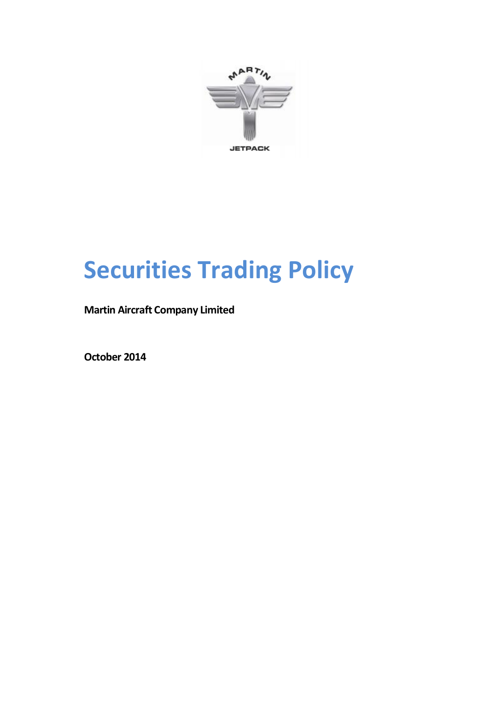

# **Securities Trading Policy**

**Martin Aircraft Company Limited**

**October 2014**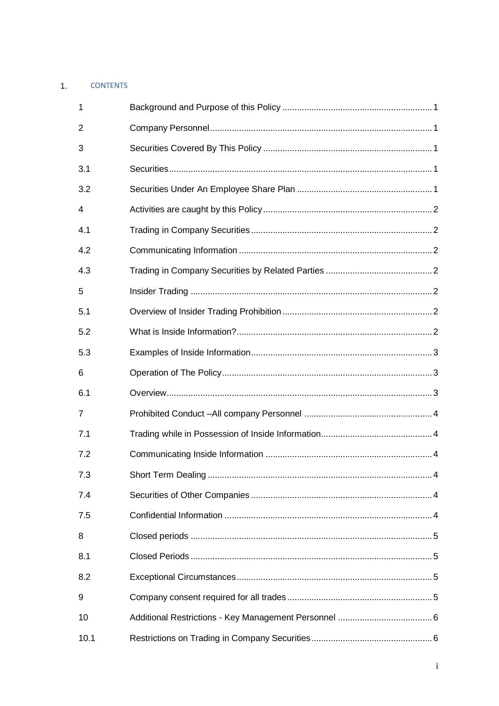## 1. CONTENTS

| 1    |                           |   |
|------|---------------------------|---|
| 2    |                           |   |
| 3    |                           |   |
| 3.1  |                           |   |
| 3.2  |                           |   |
| 4    |                           |   |
| 4.1  |                           |   |
| 4.2  |                           |   |
| 4.3  |                           |   |
| 5    |                           |   |
| 5.1  |                           |   |
| 5.2  |                           |   |
| 5.3  |                           |   |
| 6    |                           |   |
| 6.1  |                           |   |
| 7    |                           |   |
| 7.1  |                           |   |
| 7.2  |                           |   |
| 7.3  | <b>Short Term Dealing</b> | 4 |
| 7.4  |                           |   |
| 7.5  |                           |   |
| 8    |                           |   |
| 8.1  |                           |   |
| 8.2  |                           |   |
| 9    |                           |   |
| 10   |                           |   |
| 10.1 |                           |   |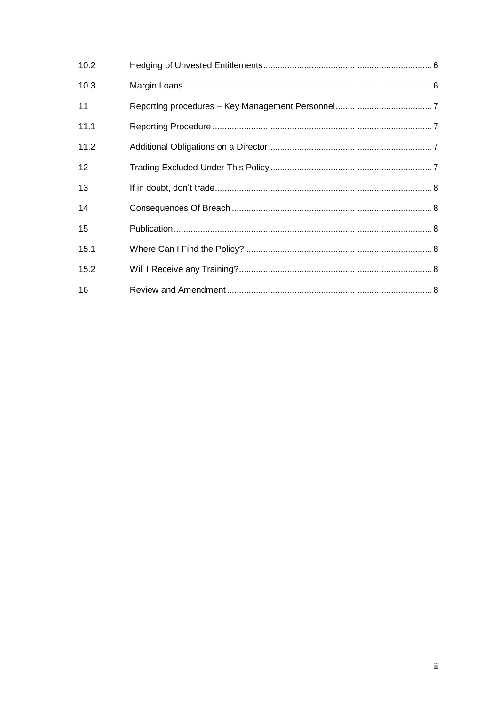| 10.2 |  |
|------|--|
| 10.3 |  |
| 11   |  |
| 11.1 |  |
| 11.2 |  |
| 12   |  |
| 13   |  |
| 14   |  |
| 15   |  |
| 15.1 |  |
| 15.2 |  |
| 16   |  |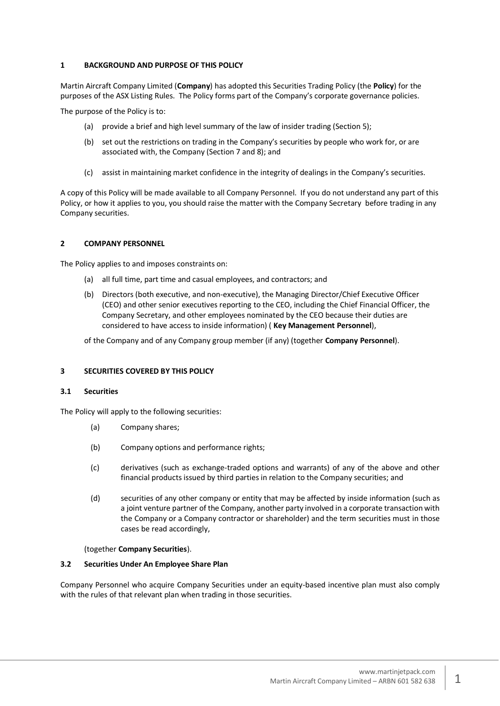## <span id="page-3-0"></span>**1 BACKGROUND AND PURPOSE OF THIS POLICY**

Martin Aircraft Company Limited (**Company**) has adopted this Securities Trading Policy (the **Policy**) for the purposes of the ASX Listing Rules. The Policy forms part of the Company's corporate governance policies.

The purpose of the Policy is to:

- (a) provide a brief and high level summary of the law of insider trading (Section 5);
- (b) set out the restrictions on trading in the Company's securities by people who work for, or are associated with, the Company (Section 7 and 8); and
- (c) assist in maintaining market confidence in the integrity of dealings in the Company's securities.

A copy of this Policy will be made available to all Company Personnel. If you do not understand any part of this Policy, or how it applies to you, you should raise the matter with the Company Secretary before trading in any Company securities.

## <span id="page-3-1"></span>**2 COMPANY PERSONNEL**

The Policy applies to and imposes constraints on:

- (a) all full time, part time and casual employees, and contractors; and
- (b) Directors (both executive, and non-executive), the Managing Director/Chief Executive Officer (CEO) and other senior executives reporting to the CEO, including the Chief Financial Officer, the Company Secretary, and other employees nominated by the CEO because their duties are considered to have access to inside information) ( **Key Management Personnel**),

of the Company and of any Company group member (if any) (together **Company Personnel**).

## <span id="page-3-2"></span>**3 SECURITIES COVERED BY THIS POLICY**

## <span id="page-3-3"></span>**3.1 Securities**

The Policy will apply to the following securities:

- (a) Company shares;
- (b) Company options and performance rights;
- (c) derivatives (such as exchange-traded options and warrants) of any of the above and other financial products issued by third parties in relation to the Company securities; and
- (d) securities of any other company or entity that may be affected by inside information (such as a joint venture partner of the Company, another party involved in a corporate transaction with the Company or a Company contractor or shareholder) and the term securities must in those cases be read accordingly,

(together **Company Securities**).

## <span id="page-3-4"></span>**3.2 Securities Under An Employee Share Plan**

Company Personnel who acquire Company Securities under an equity-based incentive plan must also comply with the rules of that relevant plan when trading in those securities.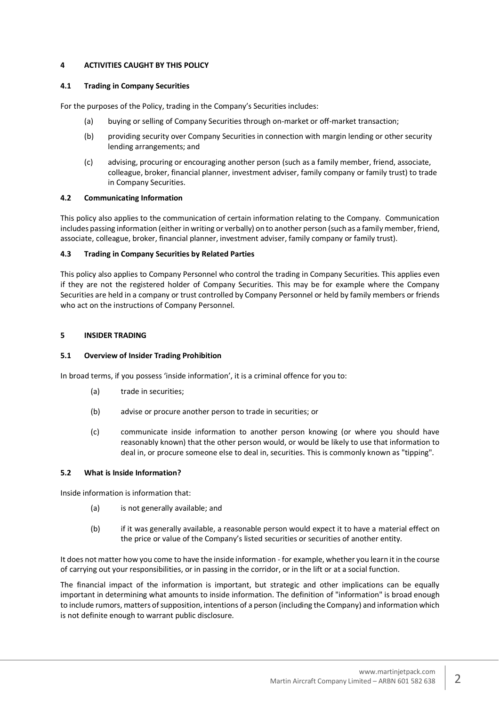## <span id="page-4-0"></span>**4 ACTIVITIES CAUGHT BY THIS POLICY**

## <span id="page-4-1"></span>**4.1 Trading in Company Securities**

For the purposes of the Policy, trading in the Company's Securities includes:

- (a) buying or selling of Company Securities through on-market or off-market transaction;
- (b) providing security over Company Securities in connection with margin lending or other security lending arrangements; and
- (c) advising, procuring or encouraging another person (such as a family member, friend, associate, colleague, broker, financial planner, investment adviser, family company or family trust) to trade in Company Securities.

## <span id="page-4-2"></span>**4.2 Communicating Information**

This policy also applies to the communication of certain information relating to the Company. Communication includes passing information (either in writing or verbally) on to another person (such as a family member, friend, associate, colleague, broker, financial planner, investment adviser, family company or family trust).

## <span id="page-4-3"></span>**4.3 Trading in Company Securities by Related Parties**

This policy also applies to Company Personnel who control the trading in Company Securities. This applies even if they are not the registered holder of Company Securities. This may be for example where the Company Securities are held in a company or trust controlled by Company Personnel or held by family members or friends who act on the instructions of Company Personnel.

## <span id="page-4-4"></span>**5 INSIDER TRADING**

## <span id="page-4-5"></span>**5.1 Overview of Insider Trading Prohibition**

In broad terms, if you possess 'inside information', it is a criminal offence for you to:

- (a) trade in securities;
- (b) advise or procure another person to trade in securities; or
- (c) communicate inside information to another person knowing (or where you should have reasonably known) that the other person would, or would be likely to use that information to deal in, or procure someone else to deal in, securities. This is commonly known as "tipping".

## <span id="page-4-6"></span>**5.2 What is Inside Information?**

Inside information is information that:

- (a) is not generally available; and
- (b) if it was generally available, a reasonable person would expect it to have a material effect on the price or value of the Company's listed securities or securities of another entity.

It does not matter how you come to have the inside information - for example, whether you learn it in the course of carrying out your responsibilities, or in passing in the corridor, or in the lift or at a social function.

The financial impact of the information is important, but strategic and other implications can be equally important in determining what amounts to inside information. The definition of "information" is broad enough to include rumors, matters of supposition, intentions of a person (including the Company) and information which is not definite enough to warrant public disclosure.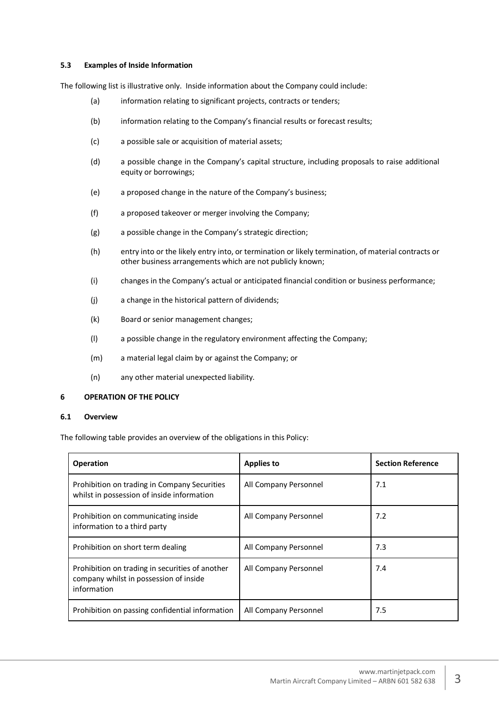## <span id="page-5-0"></span>**5.3 Examples of Inside Information**

The following list is illustrative only. Inside information about the Company could include:

- (a) information relating to significant projects, contracts or tenders;
- (b) information relating to the Company's financial results or forecast results;
- (c) a possible sale or acquisition of material assets;
- (d) a possible change in the Company's capital structure, including proposals to raise additional equity or borrowings;
- (e) a proposed change in the nature of the Company's business;
- (f) a proposed takeover or merger involving the Company;
- (g) a possible change in the Company's strategic direction;
- (h) entry into or the likely entry into, or termination or likely termination, of material contracts or other business arrangements which are not publicly known;
- (i) changes in the Company's actual or anticipated financial condition or business performance;
- (j) a change in the historical pattern of dividends;
- (k) Board or senior management changes;
- (l) a possible change in the regulatory environment affecting the Company;
- (m) a material legal claim by or against the Company; or
- (n) any other material unexpected liability.

## <span id="page-5-1"></span>**6 OPERATION OF THE POLICY**

## <span id="page-5-2"></span>**6.1 Overview**

The following table provides an overview of the obligations in this Policy:

| <b>Operation</b>                                                                                         | <b>Applies to</b>     | <b>Section Reference</b> |
|----------------------------------------------------------------------------------------------------------|-----------------------|--------------------------|
| Prohibition on trading in Company Securities<br>whilst in possession of inside information               | All Company Personnel | 7.1                      |
| Prohibition on communicating inside<br>information to a third party                                      | All Company Personnel | 7.2                      |
| Prohibition on short term dealing                                                                        | All Company Personnel | 7.3                      |
| Prohibition on trading in securities of another<br>company whilst in possession of inside<br>information | All Company Personnel | 7.4                      |
| Prohibition on passing confidential information                                                          | All Company Personnel | 7.5                      |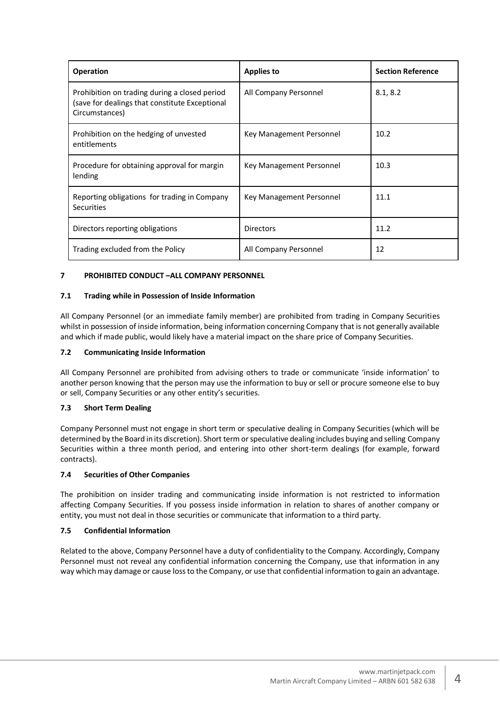| <b>Operation</b>                                                                                                  | <b>Applies to</b>        | <b>Section Reference</b> |
|-------------------------------------------------------------------------------------------------------------------|--------------------------|--------------------------|
| Prohibition on trading during a closed period<br>(save for dealings that constitute Exceptional<br>Circumstances) | All Company Personnel    | 8.1, 8.2                 |
| Prohibition on the hedging of unvested<br>entitlements                                                            | Key Management Personnel | 10.2                     |
| Procedure for obtaining approval for margin<br>lending                                                            | Key Management Personnel | 10.3                     |
| Reporting obligations for trading in Company<br><b>Securities</b>                                                 | Key Management Personnel | 11.1                     |
| Directors reporting obligations                                                                                   | <b>Directors</b>         | 11.2                     |
| Trading excluded from the Policy                                                                                  | All Company Personnel    | 12                       |

## <span id="page-6-0"></span>**7 PROHIBITED CONDUCT –ALL COMPANY PERSONNEL**

## <span id="page-6-1"></span>**7.1 Trading while in Possession of Inside Information**

All Company Personnel (or an immediate family member) are prohibited from trading in Company Securities whilst in possession of inside information, being information concerning Company that is not generally available and which if made public, would likely have a material impact on the share price of Company Securities.

## <span id="page-6-2"></span>**7.2 Communicating Inside Information**

All Company Personnel are prohibited from advising others to trade or communicate 'inside information' to another person knowing that the person may use the information to buy or sell or procure someone else to buy or sell, Company Securities or any other entity's securities.

## <span id="page-6-3"></span>**7.3 Short Term Dealing**

Company Personnel must not engage in short term or speculative dealing in Company Securities (which will be determined by the Board in its discretion). Short term or speculative dealing includes buying and selling Company Securities within a three month period, and entering into other short-term dealings (for example, forward contracts).

## <span id="page-6-4"></span>**7.4 Securities of Other Companies**

The prohibition on insider trading and communicating inside information is not restricted to information affecting Company Securities. If you possess inside information in relation to shares of another company or entity, you must not deal in those securities or communicate that information to a third party.

## <span id="page-6-5"></span>**7.5 Confidential Information**

Related to the above, Company Personnel have a duty of confidentiality to the Company. Accordingly, Company Personnel must not reveal any confidential information concerning the Company, use that information in any way which may damage or cause loss to the Company, or use that confidential information to gain an advantage.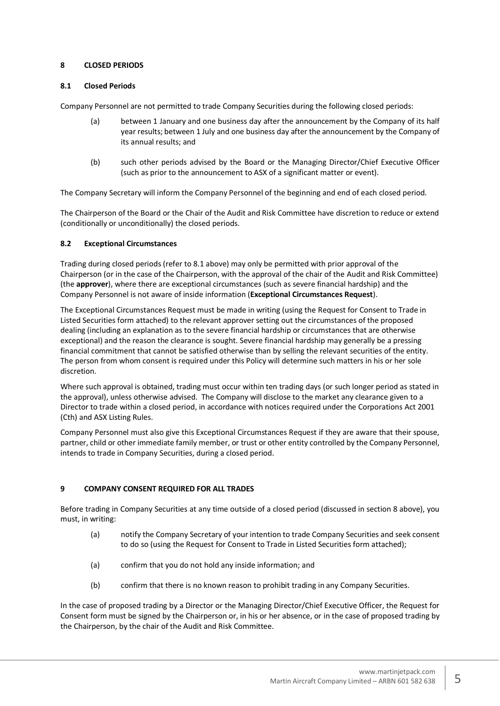## <span id="page-7-0"></span>**8 CLOSED PERIODS**

## **8.1 Closed Periods**

Company Personnel are not permitted to trade Company Securities during the following closed periods:

- <span id="page-7-1"></span>(a) between 1 January and one business day after the announcement by the Company of its half year results; between 1 July and one business day after the announcement by the Company of its annual results; and
- (b) such other periods advised by the Board or the Managing Director/Chief Executive Officer (such as prior to the announcement to ASX of a significant matter or event).

The Company Secretary will inform the Company Personnel of the beginning and end of each closed period.

The Chairperson of the Board or the Chair of the Audit and Risk Committee have discretion to reduce or extend (conditionally or unconditionally) the closed periods.

## <span id="page-7-2"></span>**8.2 Exceptional Circumstances**

Trading during closed periods (refer to 8.1 above) may only be permitted with prior approval of the Chairperson (or in the case of the Chairperson, with the approval of the chair of the Audit and Risk Committee) (the **approver**), where there are exceptional circumstances (such as severe financial hardship) and the Company Personnel is not aware of inside information (**Exceptional Circumstances Request**).

The Exceptional Circumstances Request must be made in writing (using the Request for Consent to Trade in Listed Securities form attached) to the relevant approver setting out the circumstances of the proposed dealing (including an explanation as to the severe financial hardship or circumstances that are otherwise exceptional) and the reason the clearance is sought. Severe financial hardship may generally be a pressing financial commitment that cannot be satisfied otherwise than by selling the relevant securities of the entity. The person from whom consent is required under this Policy will determine such matters in his or her sole discretion.

Where such approval is obtained, trading must occur within ten trading days (or such longer period as stated in the approval), unless otherwise advised. The Company will disclose to the market any clearance given to a Director to trade within a closed period, in accordance with notices required under the Corporations Act 2001 (Cth) and ASX Listing Rules.

Company Personnel must also give this Exceptional Circumstances Request if they are aware that their spouse, partner, child or other immediate family member, or trust or other entity controlled by the Company Personnel, intends to trade in Company Securities, during a closed period.

## <span id="page-7-3"></span>**9 COMPANY CONSENT REQUIRED FOR ALL TRADES**

Before trading in Company Securities at any time outside of a closed period (discussed in section 8 above), you must, in writing:

- (a) notify the Company Secretary of your intention to trade Company Securities and seek consent to do so (using the Request for Consent to Trade in Listed Securities form attached);
- (a) confirm that you do not hold any inside information; and
- (b) confirm that there is no known reason to prohibit trading in any Company Securities.

In the case of proposed trading by a Director or the Managing Director/Chief Executive Officer, the Request for Consent form must be signed by the Chairperson or, in his or her absence, or in the case of proposed trading by the Chairperson, by the chair of the Audit and Risk Committee.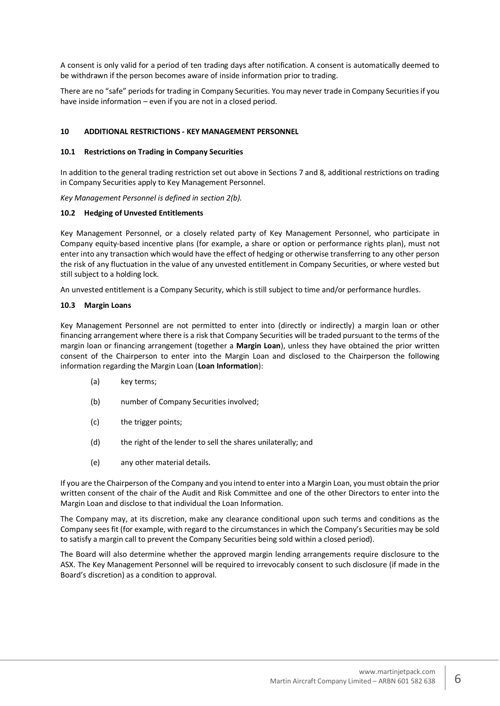A consent is only valid for a period of ten trading days after notification. A consent is automatically deemed to be withdrawn if the person becomes aware of inside information prior to trading.

There are no "safe" periods for trading in Company Securities. You may never trade in Company Securities if you have inside information – even if you are not in a closed period.

## <span id="page-8-0"></span>**10 ADDITIONAL RESTRICTIONS - KEY MANAGEMENT PERSONNEL**

## <span id="page-8-1"></span>**10.1 Restrictions on Trading in Company Securities**

In addition to the general trading restriction set out above in Sections 7 and 8, additional restrictions on trading in Company Securities apply to Key Management Personnel.

*Key Management Personnel is defined in section 2(b).* 

## <span id="page-8-2"></span>**10.2 Hedging of Unvested Entitlements**

Key Management Personnel, or a closely related party of Key Management Personnel, who participate in Company equity-based incentive plans (for example, a share or option or performance rights plan), must not enter into any transaction which would have the effect of hedging or otherwise transferring to any other person the risk of any fluctuation in the value of any unvested entitlement in Company Securities, or where vested but still subject to a holding lock.

An unvested entitlement is a Company Security, which is still subject to time and/or performance hurdles.

## <span id="page-8-3"></span>**10.3 Margin Loans**

Key Management Personnel are not permitted to enter into (directly or indirectly) a margin loan or other financing arrangement where there is a risk that Company Securities will be traded pursuant to the terms of the margin loan or financing arrangement (together a **Margin Loan**), unless they have obtained the prior written consent of the Chairperson to enter into the Margin Loan and disclosed to the Chairperson the following information regarding the Margin Loan (**Loan Information**):

- (a) key terms:
- (b) number of Company Securities involved;
- (c) the trigger points;
- (d) the right of the lender to sell the shares unilaterally; and
- (e) any other material details.

If you are the Chairperson of the Company and you intend to enter into a Margin Loan, you must obtain the prior written consent of the chair of the Audit and Risk Committee and one of the other Directors to enter into the Margin Loan and disclose to that individual the Loan Information.

The Company may, at its discretion, make any clearance conditional upon such terms and conditions as the Company sees fit (for example, with regard to the circumstances in which the Company's Securities may be sold to satisfy a margin call to prevent the Company Securities being sold within a closed period).

The Board will also determine whether the approved margin lending arrangements require disclosure to the ASX. The Key Management Personnel will be required to irrevocably consent to such disclosure (if made in the Board's discretion) as a condition to approval.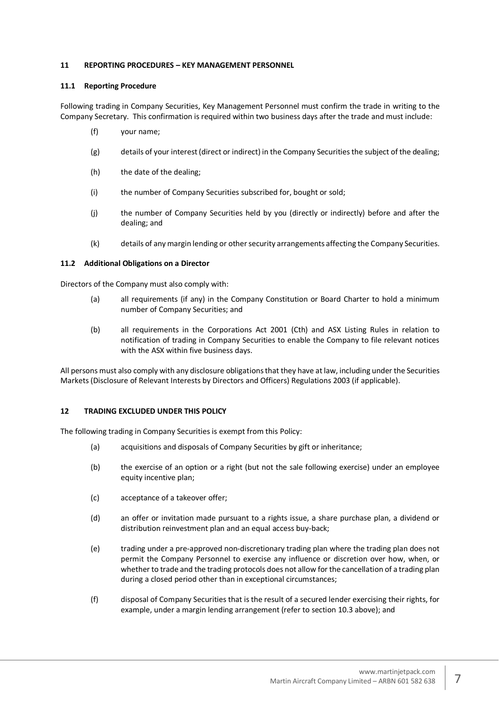## <span id="page-9-0"></span>**11 REPORTING PROCEDURES – KEY MANAGEMENT PERSONNEL**

## <span id="page-9-1"></span>**11.1 Reporting Procedure**

Following trading in Company Securities, Key Management Personnel must confirm the trade in writing to the Company Secretary. This confirmation is required within two business days after the trade and must include:

- (f) your name;
- (g) details of your interest (direct or indirect) in the Company Securities the subject of the dealing;
- (h) the date of the dealing;
- (i) the number of Company Securities subscribed for, bought or sold;
- (j) the number of Company Securities held by you (directly or indirectly) before and after the dealing; and
- (k) details of any margin lending or other security arrangements affecting the Company Securities.

## <span id="page-9-2"></span>**11.2 Additional Obligations on a Director**

Directors of the Company must also comply with:

- (a) all requirements (if any) in the Company Constitution or Board Charter to hold a minimum number of Company Securities; and
- (b) all requirements in the Corporations Act 2001 (Cth) and ASX Listing Rules in relation to notification of trading in Company Securities to enable the Company to file relevant notices with the ASX within five business days.

All persons must also comply with any disclosure obligations that they have at law, including under the Securities Markets (Disclosure of Relevant Interests by Directors and Officers) Regulations 2003 (if applicable).

## <span id="page-9-3"></span>**12 TRADING EXCLUDED UNDER THIS POLICY**

The following trading in Company Securities is exempt from this Policy:

- (a) acquisitions and disposals of Company Securities by gift or inheritance;
- (b) the exercise of an option or a right (but not the sale following exercise) under an employee equity incentive plan;
- (c) acceptance of a takeover offer;
- (d) an offer or invitation made pursuant to a rights issue, a share purchase plan, a dividend or distribution reinvestment plan and an equal access buy-back;
- (e) trading under a pre-approved non-discretionary trading plan where the trading plan does not permit the Company Personnel to exercise any influence or discretion over how, when, or whether to trade and the trading protocols does not allow for the cancellation of a trading plan during a closed period other than in exceptional circumstances;
- (f) disposal of Company Securities that is the result of a secured lender exercising their rights, for example, under a margin lending arrangement (refer to section 10.3 above); and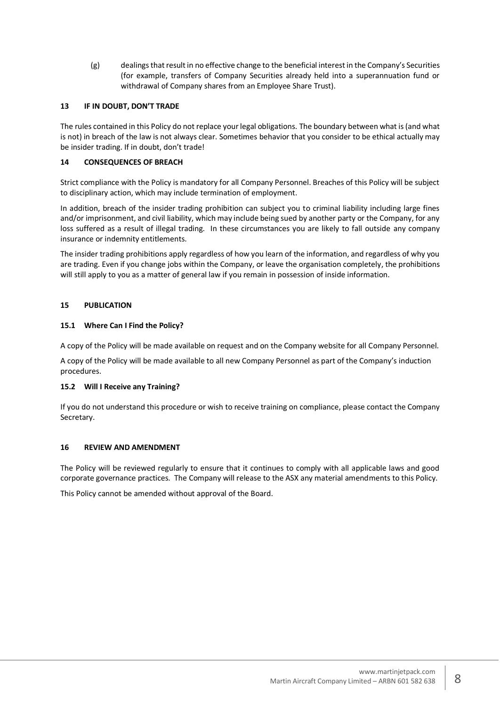(g) dealings that result in no effective change to the beneficial interest in the Company's Securities (for example, transfers of Company Securities already held into a superannuation fund or withdrawal of Company shares from an Employee Share Trust).

## <span id="page-10-0"></span>**13 IF IN DOUBT, DON'T TRADE**

The rules contained in this Policy do not replace your legal obligations. The boundary between what is (and what is not) in breach of the law is not always clear. Sometimes behavior that you consider to be ethical actually may be insider trading. If in doubt, don't trade!

## <span id="page-10-1"></span>**14 CONSEQUENCES OF BREACH**

Strict compliance with the Policy is mandatory for all Company Personnel. Breaches of this Policy will be subject to disciplinary action, which may include termination of employment.

In addition, breach of the insider trading prohibition can subject you to criminal liability including large fines and/or imprisonment, and civil liability, which may include being sued by another party or the Company, for any loss suffered as a result of illegal trading. In these circumstances you are likely to fall outside any company insurance or indemnity entitlements.

The insider trading prohibitions apply regardless of how you learn of the information, and regardless of why you are trading. Even if you change jobs within the Company, or leave the organisation completely, the prohibitions will still apply to you as a matter of general law if you remain in possession of inside information.

## <span id="page-10-2"></span>**15 PUBLICATION**

## <span id="page-10-3"></span>**15.1 Where Can I Find the Policy?**

A copy of the Policy will be made available on request and on the Company website for all Company Personnel.

A copy of the Policy will be made available to all new Company Personnel as part of the Company's induction procedures.

## <span id="page-10-4"></span>**15.2 Will I Receive any Training?**

If you do not understand this procedure or wish to receive training on compliance, please contact the Company Secretary.

## <span id="page-10-5"></span>**16 REVIEW AND AMENDMENT**

The Policy will be reviewed regularly to ensure that it continues to comply with all applicable laws and good corporate governance practices. The Company will release to the ASX any material amendments to this Policy.

This Policy cannot be amended without approval of the Board.